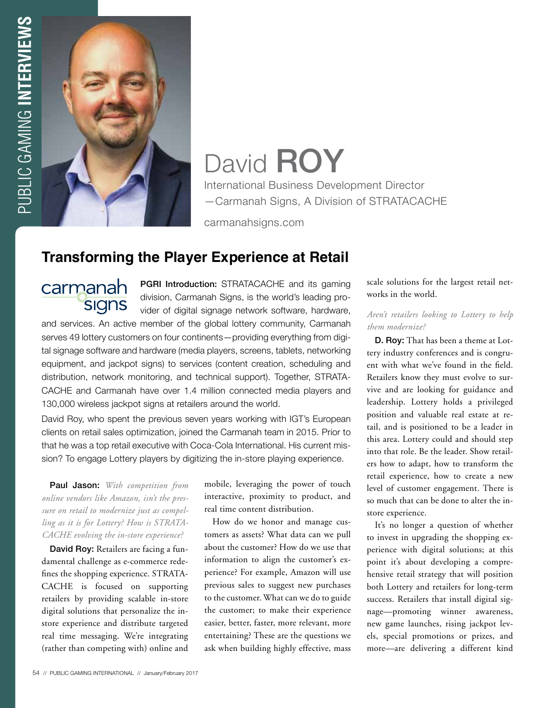

# David **ROY**

International Business Development Director —Carmanah Signs, A Division of STRATACACHE

carmanahsigns.com

# **Transforming the Player Experience at Retail**

carmanah **SIGNS** 

PGRI Introduction: STRATACACHE and its gaming division, Carmanah Signs, is the world's leading provider of digital signage network software, hardware,

and services. An active member of the global lottery community, Carmanah serves 49 lottery customers on four continents—providing everything from digital signage software and hardware (media players, screens, tablets, networking equipment, and jackpot signs) to services (content creation, scheduling and distribution, network monitoring, and technical support). Together, STRATA-CACHE and Carmanah have over 1.4 million connected media players and 130,000 wireless jackpot signs at retailers around the world.

David Roy, who spent the previous seven years working with IGT's European clients on retail sales optimization, joined the Carmanah team in 2015. Prior to that he was a top retail executive with Coca-Cola International. His current mission? To engage Lottery players by digitizing the in-store playing experience.

Paul Jason: *With competition from online vendors like Amazon, isn't the pressure on retail to modernize just as compelling as it is for Lottery? How is STRATA-CACHE evolving the in-store experience?*

David Roy: Retailers are facing a fundamental challenge as e-commerce redefines the shopping experience. STRATA-CACHE is focused on supporting retailers by providing scalable in-store digital solutions that personalize the instore experience and distribute targeted real time messaging. We're integrating (rather than competing with) online and mobile, leveraging the power of touch interactive, proximity to product, and real time content distribution.

How do we honor and manage customers as assets? What data can we pull about the customer? How do we use that information to align the customer's experience? For example, Amazon will use previous sales to suggest new purchases to the customer. What can we do to guide the customer; to make their experience easier, better, faster, more relevant, more entertaining? These are the questions we ask when building highly effective, mass scale solutions for the largest retail networks in the world.

## *Aren't retailers looking to Lottery to help them modernize?*

D. Roy: That has been a theme at Lottery industry conferences and is congruent with what we've found in the field. Retailers know they must evolve to survive and are looking for guidance and leadership. Lottery holds a privileged position and valuable real estate at retail, and is positioned to be a leader in this area. Lottery could and should step into that role. Be the leader. Show retailers how to adapt, how to transform the retail experience, how to create a new level of customer engagement. There is so much that can be done to alter the instore experience.

It's no longer a question of whether to invest in upgrading the shopping experience with digital solutions; at this point it's about developing a comprehensive retail strategy that will position both Lottery and retailers for long-term success. Retailers that install digital signage—promoting winner awareness, new game launches, rising jackpot levels, special promotions or prizes, and more—are delivering a different kind